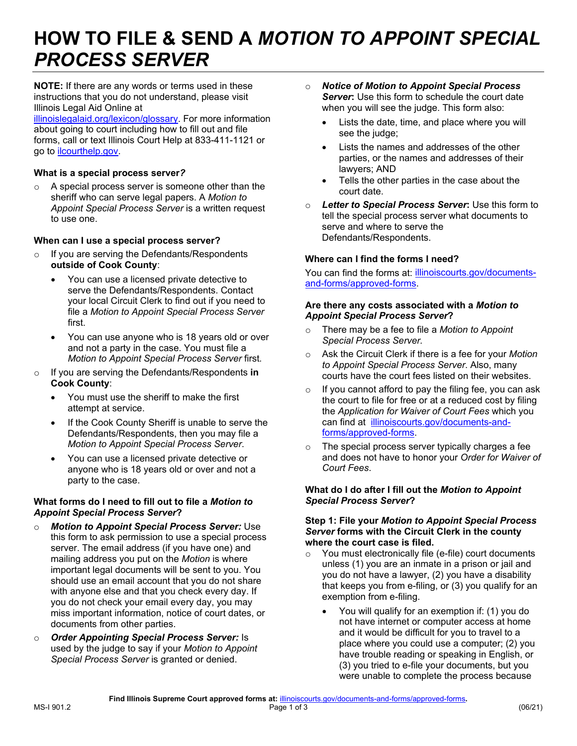# **HOW TO FILE & SEND A** *MOTION TO APPOINT SPECIAL*   *PROCESS SERVER*

 **NOTE:** If there are any words or terms used in these instructions that you do not understand, please visit Illinois Legal Aid Online at

 [illinoislegalaid.org/lexicon/glossary.](https://www.illinoislegalaid.org/lexicon/glossary) For more information about going to court including how to fill out and file forms, call or text Illinois Court Help at 833-411-1121 or go to [ilcourthelp.gov.](https://www.ilcourthelp.gov/hc/en-us)

### **What is a special process server***?*

 $\circ$  A special process server is someone other than the  *Appoint Special Process Server* is a written request sheriff who can serve legal papers. A *Motion to*  to use one.

# **When can I use a special process server?**

- **outside of Cook County**: o If you are serving the Defendants/Respondents
	- serve the Defendants/Respondents. Contact your local Circuit Clerk to find out if you need to file a *Motion to Appoint Special Process Server*  • You can use a licensed private detective to first.
	- • You can use anyone who is 18 years old or over and not a party in the case. You must file a  *Motion to Appoint Special Process Server* first*.*
- o If you are serving the Defendants/Respondents **in Cook County**:
	- • You must use the sheriff to make the first attempt at service.
	- • If the Cook County Sheriff is unable to serve the Defendants/Respondents, then you may file a  *Motion to Appoint Special Process Server*.
	- anyone who is 18 years old or over and not a • You can use a licensed private detective or party to the case.

#### **What forms do I need to fill out to file a** *Motion to Appoint Special Process Server***?**

- *Motion to Appoint Special Process Server:* **Use**  this form to ask permission to use a special process server. The email address (if you have one) and mailing address you put on the *Motion* is where important legal documents will be sent to you. You should use an email account that you do not share with anyone else and that you check every day. If you do not check your email every day, you may miss important information, notice of court dates, or documents from other parties.
- o *Order Appointing Special Process Server:* Is used by the judge to say if your *Motion to Appoint Special Process Server* is granted or denied.
- o *Notice of Motion to Appoint Special Process Server***:** Use this form to schedule the court date when you will see the judge. This form also:
	- • Lists the date, time, and place where you will see the judge;
	- • Lists the names and addresses of the other parties, or the names and addresses of their lawyers; AND
	- Tells the other parties in the case about the court date.
- o *Letter to Special Process Server***:** Use this form to tell the special process server what documents to serve and where to serve the Defendants/Respondents.

# **Where can I find the forms I need?**

You can find the forms at: <u>illinoiscourts.gov/documents-</u> [and-forms/approved-forms.](https://www.illinoiscourts.gov/documents-and-forms/approved-forms/)

#### **Are there any costs associated with a** *Motion to Appoint Special Process Server***?**

- *Special Process Server.*  o There may be a fee to file a *Motion to Appoint*
- o Ask the Circuit Clerk if there is a fee for your *Motion to Appoint Special Process Server*. Also, many courts have the court fees listed on their websites.
- $\circ$  If you cannot afford to pay the filing fee, you can ask the court to file for free or at a reduced cost by filing  the *Application for Waiver of Court Fees* which you can find at [illinoiscourts.gov/documents-and](https://www.illinoiscourts.gov/documents-and-forms/approved-forms/)[forms/approved-forms.](https://www.illinoiscourts.gov/documents-and-forms/approved-forms/)
- $\circ$  and does not have to honor your *Order for Waiver of*  The special process server typically charges a fee *Court Fees*.

#### **What do I do after I fill out the** *Motion to Appoint Special Process Server***?**

#### **Step 1: File your** *Motion to Appoint Special Process*   *Server* **forms with the Circuit Clerk in the county where the court case is filed.**

- o You must electronically file (e-file) court documents unless (1) you are an inmate in a prison or jail and you do not have a lawyer, (2) you have a disability that keeps you from e-filing, or (3) you qualify for an exemption from e-filing.
	- • You will qualify for an exemption if: (1) you do not have internet or computer access at home and it would be difficult for you to travel to a place where you could use a computer; (2) you have trouble reading or speaking in English, or (3) you tried to e-file your documents, but you were unable to complete the process because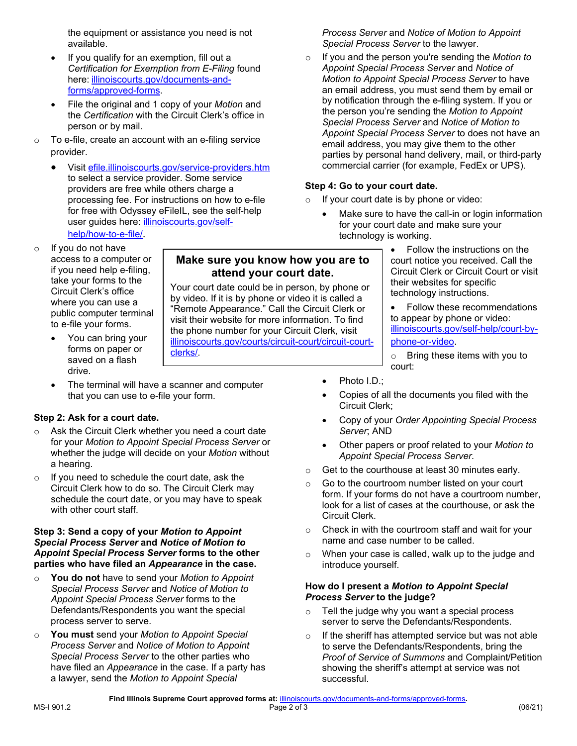available.  available. *Special Process Server* to the lawyer.

- If you qualify for an exemption, fill out a forms/approved-forms.
- $\bullet$ the Certification with the Circuit Clerk's office in person or by mail. File the original and 1 copy of your Motion and
- To e-file, create an account with an e-filing service
	- processing fee. For instructions on how to e-file  $\qquad \circ \quad$  If your court date is by phone or video: for free with Odyssey eFileIL, see the self-help user guides here: illinoiscourts.gov/self[help/how-to-e-file/](https://www.illinoiscourts.gov/self-help/how-to-e-file/). the control of the control of the technology is working. Visit efile.illinoiscourts.gov/service-providers.htm to select a service provider. Some service **Step 4: Go to your court date.** providers are free while others charge a
- If you do not have access to a computer or public computer terminal to e-file your forms.
	- forms on paper or<br>saved on a flash
	- The terminal will have a scanner and computer **•** Photo I.D.; that you can use to e-file your form.

### Step 2: Ask for a court date.

- o Ask the Circuit Clerk whether you need a court date *Server*; AND for your Motion to Appoint Special Process Server or for your *Motion to Appoint Special Process Server* or • Other papers or proof related to your *Motion to*  whether the judge will decide on your *Motion* without **a** hearing.
- If you need to schedule the court date, ask the Circuit Clerk how to do so. The Circuit Clerk may schedule the court date, or you may have to speak with other court staff.

#### **Step 3: Send a copy of your** *Motion to Appoint* **o** Check in with the courtroom staff and wait for your  *Special Process Server* **and** *Notice of Motion to* name and case number to be called. **Appoint Special Process Server forms to the other parties who have filed an** *Appearance* **in the case.** introduce yourself.

- *Special Process Server* and *Notice of Motion to* **How do I present a** *Motion to Appoint Special Appoint Special Process Server* forms to the *Process Server* **to the judge?**  o **You do not** have to send your *Motion to Appoint*  process server to serve. server to server to server to serve the Defendants/Respondents.
- You must send your Motion to Appoint Special **Process Server and Notice of Motion to Appoint Special Process Server to the other parties who** have filed an Appearance in the case. If a party has a lawyer, send the *Motion to Appoint Special* **successful**.

access to a computer or **Make sure you know how you are to** court notice you received. Call the if you need help e-filing, if you need help e-filing, **attend your court date.**<br>take your forms to the

Your court date could be in person, by phone or by video. If it is by phone or video it is called a "Remote Appearance." Call the Circuit Clerk or visit their website for more information. To find the phone number for your Circuit Clerk, visit<br>illinoiscourts.gov/courts/circuit-court/circuit-courttake your forms to the<br>
Circuit Clerk's office<br>
where you can use a<br>
public computer terminal<br>
the your forms.<br>
Sure of the phone or video it is called a<br>
"Remote Appearance." Call the Circuit Clerk or<br>
to e-file your form

 the equipment or assistance you need is not *Process Server* and *Notice of Motion to Appoint*  **Process Server and Notice of Motion to Appoint** 

 *Certification for Exemption from E-Filing* found *Appoint Special Process Server* and *Notice of*  **Appoint Special Process Server and Notice of**  here: [illinoiscourts.gov/documents-and-](https://www.illinoiscourts.gov/documents-and-forms/approved-forms/) *Motion to Appoint Special Process Server* to have [forms/approved-forms.](https://www.illinoiscourts.gov/documents-and-forms/approved-forms/) an email address, you must send them by email or by notification through the e-filing system. If you or<br>the person you're sending the Motion to Appoint **Special Process Server and Notice of Motion to** Appoint Special Process Server to does not have an email address, you may give them to the other o To e-file, create an account with an e-filing service email address, you may give them to the other provider.<br>provider. provider provider. commercial carrier (for example, FedEx or UPS).  $\circ$  If you and the person you're sending the *Motion to* 

- If your court date is by phone or video:
- for your court date and make sure your for free with Odyssey eFileIL, see the self-help **• Make sure to have the call-in or login information**<br>user guides here: <u>illinoiscourts.gov/self-</u> **for your court date and make sure your**<br>help/how-to-e-file/.<br>technology
- Circuit Clerk or Circuit Court or visit their websites for specific o If you do not have **Follow the instructions on the instructions** on the
	- to appear by phone or video:<br>illinoiscourts.gov/self-help/court-by-
	-
	-
	- that you can use to e-file your form. Copies of all the documents you filed with the Circuit Clerk;
- **Step 2: Ask for a court date. Copy of your** *Order Appointing Special Process* **<b>•** Copy of your *Order Appointing Special Process* 
	- **Appoint Special Process Server.**
	- Get to the courthouse at least 30 minutes early.
- Go to the courtroom number listed on your court form. If your forms do not have a courtroom number, look for a list of cases at the courthouse, or ask the Circuit Clerk. o If you need to schedule the court date, ask the<br>Circuit Clerk how to do so. The Circuit Clerk may<br>schedule the court date, or you may have to speak<br>with other court staff.<br>with other court staff.<br>Circuit Clerk.<br>Circuit
	- Check in with the courtroom staff and wait for your
- **Appoint Special Process Server forms to the other o** When your case is called, walk up to the judge and

# **How do I present a Motion to Appoint Special**<br>Process Server to the judge?

- Defendants/Respondents you want the special  $\qquad \qquad \circ \quad$  Tell the judge why you want a special process Tell the judge why you want a special process
- o **You must** send your *Motion to Appoint Special* o If the sheriff has attempted service but was not able  *Special Process Server* to the other parties who *Proof of Service of Summons* and Complaint/Petition have filed an *Appearance* in the case. If a party has showing the sheriff's attempt at service was not to serve the Defendants/Respondents, bring the